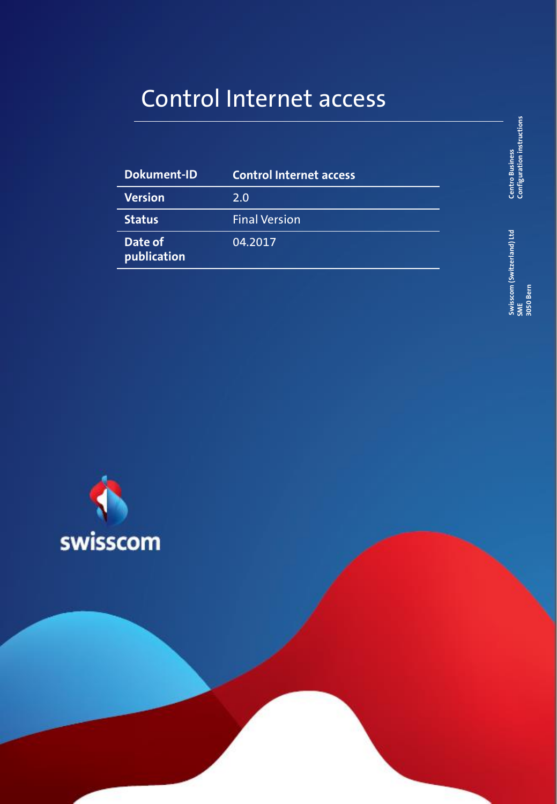## Control Internet access

| <b>Dokument-ID</b>     | <b>Control Internet access</b> |
|------------------------|--------------------------------|
| Version                | 2.0                            |
| <b>Status</b>          | <b>Final Version</b>           |
| Date of<br>publication | 04.2017                        |

**Centro Business**<br>Configuration instructions **Configuration instructions 1 Centro Business Centro Business 1 Centro Business 1 Centro Business 1 Centro Business** 

**Swisscom (Switzerland) Ltd SME 3050 Bern**

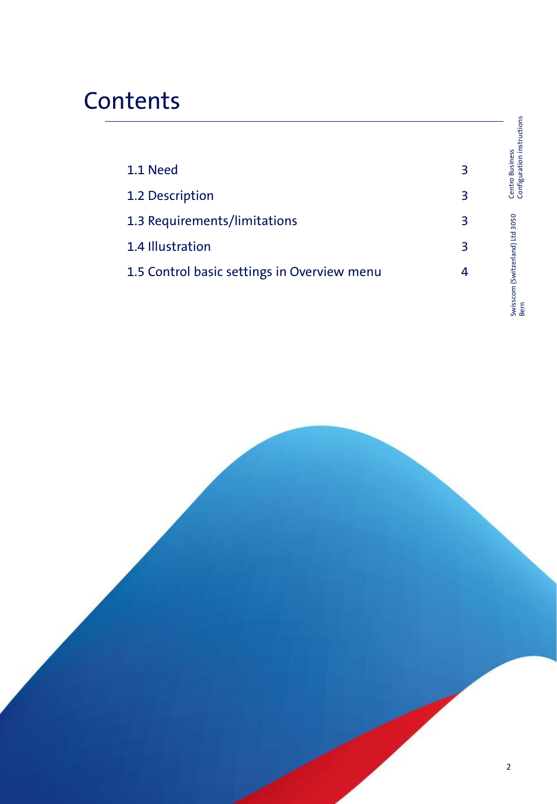# **Contents**

|                                             |   | Centro Business<br>Configuration instructions |
|---------------------------------------------|---|-----------------------------------------------|
| 1.1 Need                                    | 3 |                                               |
| 1.2 Description                             | 3 |                                               |
| 1.3 Requirements/limitations                | 3 |                                               |
| 1.4 Illustration                            | 3 |                                               |
| 1.5 Control basic settings in Overview menu | 4 |                                               |
|                                             |   | Swisscom (Switzerland) Ltd 3050<br>Bern       |

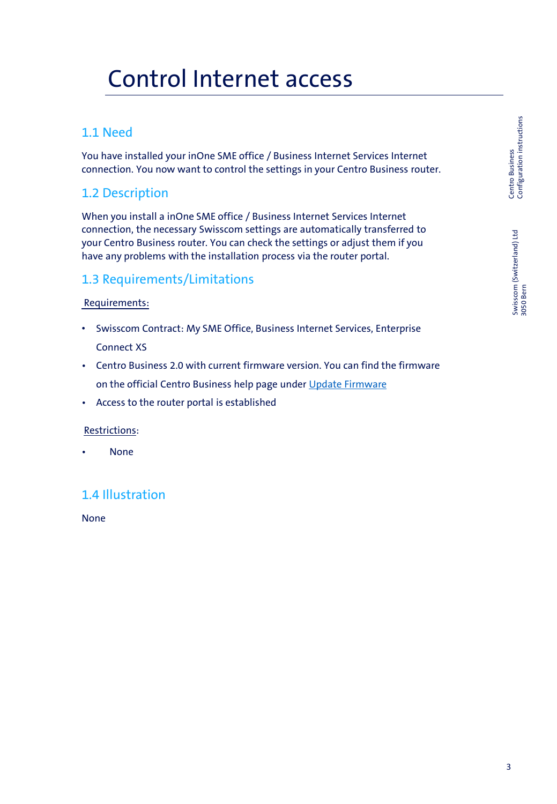## Control Internet access

### 1.1 Need

You have installed your inOne SME office / Business Internet Services Internet connection. You now want to control the settings in your Centro Business router.

### 1.2 Description

When you install a inOne SME office / Business Internet Services Internet connection, the necessary Swisscom settings are automatically transferred to your Centro Business router. You can check the settings or adjust them if you have any problems with the installation process via the router portal.

#### 1.3 Requirements/Limitations

#### Requirements:

- Swisscom Contract: My SME Office, Business Internet Services, Enterprise Connect XS
- Centro Business 2.0 with current firmware version. You can find the firmware on the official Centro Business help page under [Update Firmware](http://www.swisscom.ch/centrobusiness2-fw)
- Access to the router portal is established

#### Restrictions:

• None

#### 1.4 Illustration

None